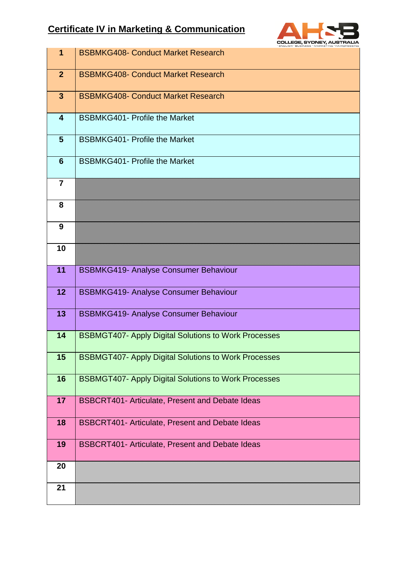## **Certificate IV in Marketing & Communication**



| $\mathbf 1$             | <b>BSBMKG408- Conduct Market Research</b>                   |
|-------------------------|-------------------------------------------------------------|
| $\overline{2}$          | <b>BSBMKG408- Conduct Market Research</b>                   |
| $\mathbf{3}$            | <b>BSBMKG408- Conduct Market Research</b>                   |
| $\overline{\mathbf{4}}$ | <b>BSBMKG401- Profile the Market</b>                        |
| 5                       | <b>BSBMKG401- Profile the Market</b>                        |
| $6\phantom{1}6$         | <b>BSBMKG401- Profile the Market</b>                        |
| $\overline{7}$          |                                                             |
| 8                       |                                                             |
| 9                       |                                                             |
| 10                      |                                                             |
| 11                      | <b>BSBMKG419- Analyse Consumer Behaviour</b>                |
| 12                      | <b>BSBMKG419- Analyse Consumer Behaviour</b>                |
| 13                      | <b>BSBMKG419- Analyse Consumer Behaviour</b>                |
| 14                      | <b>BSBMGT407- Apply Digital Solutions to Work Processes</b> |
| 15                      | <b>BSBMGT407- Apply Digital Solutions to Work Processes</b> |
| 16                      | <b>BSBMGT407- Apply Digital Solutions to Work Processes</b> |
| 17                      | BSBCRT401- Articulate, Present and Debate Ideas             |
| 18                      | <b>BSBCRT401- Articulate, Present and Debate Ideas</b>      |
| 19                      | <b>BSBCRT401- Articulate, Present and Debate Ideas</b>      |
| 20                      |                                                             |
| 21                      |                                                             |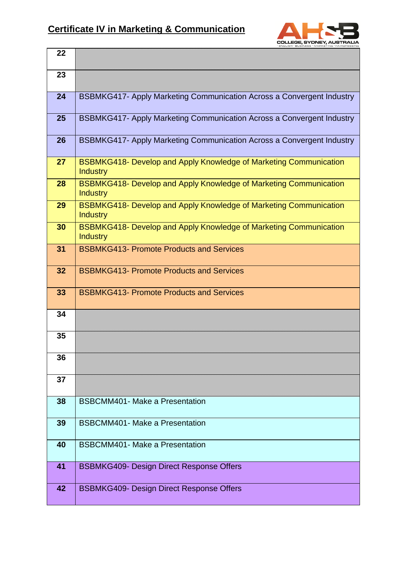

| 22 |                                                                                             |
|----|---------------------------------------------------------------------------------------------|
| 23 |                                                                                             |
| 24 | <b>BSBMKG417- Apply Marketing Communication Across a Convergent Industry</b>                |
| 25 | BSBMKG417- Apply Marketing Communication Across a Convergent Industry                       |
| 26 | <b>BSBMKG417- Apply Marketing Communication Across a Convergent Industry</b>                |
| 27 | <b>BSBMKG418- Develop and Apply Knowledge of Marketing Communication</b><br><b>Industry</b> |
| 28 | <b>BSBMKG418- Develop and Apply Knowledge of Marketing Communication</b><br><b>Industry</b> |
| 29 | BSBMKG418- Develop and Apply Knowledge of Marketing Communication<br><b>Industry</b>        |
| 30 | <b>BSBMKG418- Develop and Apply Knowledge of Marketing Communication</b><br><b>Industry</b> |
| 31 | <b>BSBMKG413- Promote Products and Services</b>                                             |
| 32 | <b>BSBMKG413- Promote Products and Services</b>                                             |
| 33 | <b>BSBMKG413- Promote Products and Services</b>                                             |
| 34 |                                                                                             |
| 35 |                                                                                             |
| 36 |                                                                                             |
| 37 |                                                                                             |
| 38 | <b>BSBCMM401- Make a Presentation</b>                                                       |
| 39 | <b>BSBCMM401- Make a Presentation</b>                                                       |
| 40 | <b>BSBCMM401- Make a Presentation</b>                                                       |
| 41 | <b>BSBMKG409- Design Direct Response Offers</b>                                             |
| 42 | <b>BSBMKG409- Design Direct Response Offers</b>                                             |